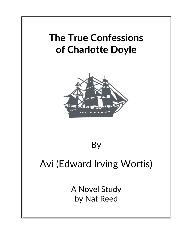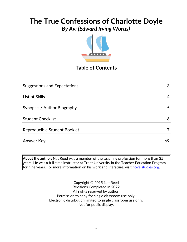# **The True Confessions of Charlotte Doyle**

*By Avi (Edward Irving Wortis)*



# **Table of Contents**

| <b>Suggestions and Expectations</b> | 3  |
|-------------------------------------|----|
|                                     |    |
| List of Skills                      | 4  |
|                                     |    |
| Synopsis / Author Biography         | 5  |
|                                     |    |
| <b>Student Checklist</b>            | 6  |
| Reproducible Student Booklet        |    |
|                                     |    |
| <b>Answer Key</b>                   | 69 |

**About the author:** Nat Reed was a member of the teaching profession for more than 35 years. He was a full-time instructor at Trent University in the Teacher Education Program for nine years. For more information on his work and literature, visit **novelstudies.org**.

> Copyright © 2015 Nat Reed Revisions Completed in 2022 All rights reserved by author. Permission to copy for single classroom use only. Electronic distribution limited to single classroom use only. Not for public display.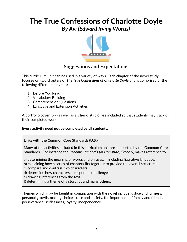

### **Suggestions and Expectations**

This curriculum unit can be used in a variety of ways. Each chapter of the novel study focuses on two chapters of *The True Confessions of Charlotte Doyle* and is comprised of the following different activities:

- 1. Before You Read
- 2. Vocabulary Building
- 3. Comprehension Questions
- 4. Language and Extension Activities

A **portfolio cover** (p.7) as well as a **Checklist** (p.6) are included so that students may track of their completed work.

#### **Every activity need not be completed by all students.**

#### **Links with the Common Core Standards (U.S.)**

Many of the activities included in this curriculum unit are supported by the Common Core Standards. For instance the *Reading Standards for Literature, Grade 5*, makes reference to

a) determining the meaning of words and phrases. . . including figurative language;

b) explaining how a series of chapters fits together to provide the overall structure;

c) compare and contrast two characters;

d) determine how characters … respond to challenges;

e) drawing inferences from the text;

f) determining a theme of a story . . . **and many others.**

**Themes** which may be taught in conjunction with the novel include justice and fairness, personal growth, making choices, race and society, the importance of family and friends, perseverance, selflessness, loyalty, independence.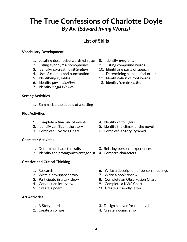### **List of Skills**

#### **Vocabulary Development**

- 1. Locating descriptive words/phrases 8. Identify *anagrams*
- 2. Listing synonyms/homophones 9. Listing compound words
- 3. Identifying/creating *alliteration* 10. Identifying parts of speech
- 
- 
- 6. Identify *personification*. 13. Identify/create *similes*
- 7. Identify *singular/plural*

#### **Setting Activities**

1. Summarize the details of a setting

#### **Plot Activities**

- 1. Complete a *time line* of events 4. Identify *cliffhangers*
- 
- 

#### **Character Activities**

- 
- 2. Identify the protagonist/antagonist 4. Compare characters

#### **Creative and Critical Thinking**

- 
- 2. Write a newspaper story **7. Write a book review**
- 
- 
- 

#### **Art Activities**

- 
- 
- 
- 
- 
- 4. Use of capitals and punctuation 11. Determining alphabetical order
- 5. Identifying syllables 12. Identification of root words
	-

- 
- 2. Identify conflict in the story 5. Identify the climax of the novel.
- 3. Complete Five W's Chart 6. Complete a Story Pyramid
- 1. Determine character traits 3. Relating personal experiences
	-
- 1. Research 6. Write a description of personal feelings
	-
- 3. Participate in a talk show 8. Complete an Observation Chart
- 4. Conduct an interview 9. Complete a KWS Chart
- 5. Create a poem 10. Create a friendly letter.
- 1. A Storyboard 3. Design a cover for the novel
- 2. Create a collage 4. Create a comic strip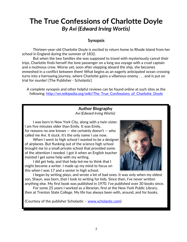#### **Synopsis**

 Thirteen-year-old Charlotte Doyle is excited to return home to Rhode Island from her school in England during the summer of 1832.

But when the two families she was supposed to travel with mysteriously cancel their trips, Charlotte finds herself the lone passenger on a long sea voyage with a cruel captain and a mutinous crew. Worse yet, soon after stepping aboard the ship, she becomes enmeshed in a conflict between them! What begins as an eagerly anticipated ocean crossing turns into a harrowing journey, where Charlotte gains a villainous enemy . . . and is put on trial for murder! [The Publisher - Scholastic]

A complete synopsis and other helpful reviews can be found online at such sites as the following: [http://en.wikipedia.org/wiki/The\\_True\\_Confessions\\_of\\_Charlotte\\_Doyle](http://en.wikipedia.org/wiki/The_True_Confessions_of_Charlotte_Doyle)

#### **Author Biography** *Avi (Edward Irving Wortis)*

I was born in New York City, along with a twin sister. I am five minutes older than Emily. It was Emily, for reasons no one knows  $-$  she certainly doesn't  $-$  who called me Avi. It stuck. It's the only name I use now.

When I went to high school I wanted to be a designer of airplanes. But flunking out of the science high school brought me to a small private school that provided some of the attention I needed. I got it when an English teacher insisted I get some help with my writing.

I did get help, and that help led me to think that I might become a writer. I made up my mind to focus on this when I was 17 and a senior in high school.



I began by writing plays, and wrote a lot of bad ones. It was only when my eldest son, Shaun, was born, that I took to writing for kids. Since then, I've never written anything else. My first book was published in 1970. I've published over 30 books since.

For some 25 years I worked as a librarian, first at the New York Public Library, then at Trenton State College. My life has always been with, around, and for books.

(Courtesy of the publisher Scholastic – [www.scholastic.com\)](http://www.scholastic.com/)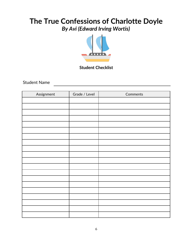

#### **Student Checklist**

Student Name

| Assignment | Grade / Level | Comments |
|------------|---------------|----------|
|            |               |          |
|            |               |          |
|            |               |          |
|            |               |          |
|            |               |          |
|            |               |          |
|            |               |          |
|            |               |          |
|            |               |          |
|            |               |          |
|            |               |          |
|            |               |          |
|            |               |          |
|            |               |          |
|            |               |          |
|            |               |          |
|            |               |          |
|            |               |          |
|            |               |          |
|            |               |          |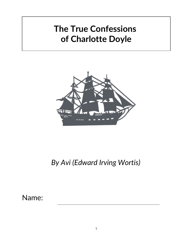# **The True Confessions of Charlotte Doyle**



# *By Avi (Edward Irving Wortis)*

Name: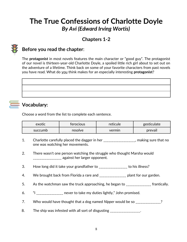# **Chapters 1-2**



## **Before you read the chapter**:

The **protagonist** in most novels features the main character or "good guy". The protagonist of our novel is thirteen-year-old Charlotte Doyle, a spoiled little rich girl about to set out on the adventure of a lifetime. Think back on some of your favorite characters from past novels you have read. What do you think makes for an especially interesting **protagonist**?



### **Vocabulary:**

Choose a word from the list to complete each sentence.

| exotic  | <b>terocious</b> | reticule | gesticulate |
|---------|------------------|----------|-------------|
| succumb | resolve          | vermin   | prevail     |

- 1. Charlotte carefully placed the dagger in her \_\_\_\_\_\_\_\_\_\_\_\_\_\_\_\_\_, making sure that no one was watching her movements.
- 2. There wasn't one person watching the struggle who thought Marsha would  $\frac{1}{1}$  =  $\frac{1}{1}$  =  $\frac{1}{1}$  =  $\frac{1}{1}$  against her larger opponent.
- 3. How long did it take your grandfather to example to his illness?
- 4. We brought back from Florida a rare and \_\_\_\_\_\_\_\_\_\_\_\_\_\_\_\_\_\_\_ plant for our garden.
- 5. As the watchman saw the truck approaching, he began to \_\_\_\_\_\_\_\_\_\_\_\_\_\_\_ frantically.
- 6. "I \_\_\_\_\_\_\_\_\_\_\_\_\_\_\_\_ never to take my duties lightly," John promised.
- 7. Who would have thought that a dog named *Nipper* would be so \_\_\_\_\_\_\_\_\_\_\_\_\_\_\_?
- 8. The ship was infested with all sort of disgusting \_\_\_\_\_\_\_\_\_\_\_\_\_\_\_\_.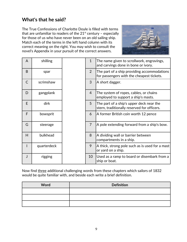## **What's that he said?**

The True Confessions of Charlotte Doyle is filled with terms that are unfamiliar to readers of the  $21<sup>st</sup>$  century - especially for those of us who have never been on an old sailing ship. Match each of the terms in the left hand column with its correct meaning on the right. You may wish to consult the novel's Appendix in your pursuit of the correct answers.



| A            | shilling    | $\mathbf{1}$   | The name given to scrollwork, engravings,<br>and carvings done in bone or ivory.         |
|--------------|-------------|----------------|------------------------------------------------------------------------------------------|
| B            | spar        | 2              | The part of a ship providing accommodations<br>for passengers with the cheapest tickets. |
| $\mathsf{C}$ | scrimshaw   | 3              | A short dagger.                                                                          |
| D            | gangplank   | 4              | The system of ropes, cables, or chains<br>employed to support a ship's masts.            |
| E            | dirk        | 5              | The part of a ship's upper deck near the<br>stern, traditionally reserved for officers.  |
| F            | bowsprit    | 6              | A former British coin worth 12 pence                                                     |
| G            | steerage    | $\overline{7}$ | A pole extending forward from a ship's bow.                                              |
| H            | bulkhead    | 8              | A dividing wall or barrier between<br>compartments in a ship.                            |
|              | quarterdeck | 9              | A thick, strong pole such as is used for a mast<br>or yard on a ship.                    |
| J            | rigging     | 10             | Used as a ramp to board or disembark from a<br>ship or boat.                             |

Now find three additional challenging words from these chapters which sailors of 1832 would be quite familiar with, and beside each write a brief definition.

| Word | <b>Definition</b> |
|------|-------------------|
|      |                   |
|      |                   |
|      |                   |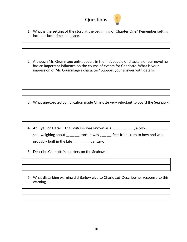

- 1. What is the **setting** of the story at the beginning of Chapter One? Remember setting includes both time and place.
- 2. Although Mr. Grummage only appears in the first couple of chapters of our novel he has an important influence on the course of events for Charlotte. What is your impression of Mr. Grummage's character? Support your answer with details.

- 3. What unexpected complication made Charlotte very reluctant to board the Seahawk?
- 4. **An Eye For Detail.** The *Seahawk* was known as a \_\_\_\_\_\_\_\_\_\_\_\_\_, a two-\_\_\_\_\_\_\_\_\_\_\_\_\_ ship weighing about \_\_\_\_\_\_\_\_ tons. It was \_\_\_\_\_\_\_ feet from stern to bow and was probably built in the late \_\_\_\_\_\_\_\_\_\_ century.
- 5. Describe Charlotte's quarters on the Seahawk.
- 6. What disturbing warning did Barlow give to Charlotte? Describe her response to this warning.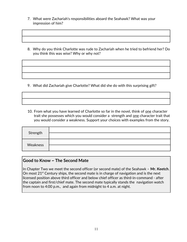- 7. What were Zachariah's responsibilities aboard the Seahawk? What was your impression of him?
- 8. Why do you think Charlotte was rude to Zachariah when he tried to befriend her? Do you think this was wise? Why or why not?

9. What did Zachariah give Charlotte? What did she do with this surprising gift?

10. From what you have learned of Charlotte so far in the novel, think of one character trait she possesses which you would consider a strength and one character trait that you would consider a weakness. Support your choices with examples from the story.

| Strength |  |
|----------|--|
|          |  |
| Weakness |  |
|          |  |

#### **Good to Know ~ The Second Mate**

In Chapter Two we meet the second officer (or second mate) of the Seahawk – **Mr. Keetch**. On most  $21<sup>st</sup>$  Century ships, the second mate is in charge of navigation and is the next licensed position above third officer and below chief officer as third-in-command - after the captain and first/chief mate. The second mate typically stands the navigation watch from noon to 4:00 p.m., and again from midnight to 4 a.m. at night.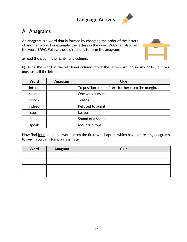**Language Activity**



### **A. Anagrams**

An **anagram** is a word that is formed by changing the order of the letters of another word. For example, the letters in the word **WAS** can also form the word **SAW**. Follow these directions to form the anagrams:



a) read the clue in the right-hand column.

b) Using the word in the left-hand column move the letters around in any order, but you must use all the letters.

| Word   | Anagram | <b>Clue</b>                                         |
|--------|---------|-----------------------------------------------------|
| intend |         | To position a line of text further from the margin. |
| search |         | One who pursues.                                    |
| smock  |         | Teases.                                             |
| indeed |         | Refused to admit.                                   |
| stern  |         | Leases.                                             |
| table  |         | Sound of a sheep.                                   |
| speak  |         | Mountain tops.                                      |

Now find four additional words from the first two chapters which have interesting anagrams to see if you can stump a classmate.

| Word | Anagram | Clue |
|------|---------|------|
|      |         |      |
|      |         |      |
|      |         |      |
|      |         |      |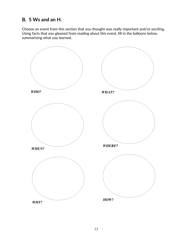## **B. 5 Ws and an H.**

Choose an event from this section that you thought was really important and/or exciting. Using facts that you gleaned from reading about this event, fill in the balloons below, summarizing what you learned.

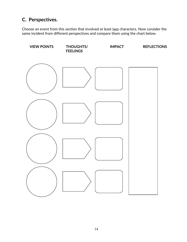# **C. Perspectives.**

Choose an event from this section that involved at least two characters. Now consider the same incident from different perspectives and compare them using the chart below.

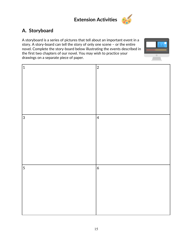



# **A. Storyboard**

A storyboard is a series of pictures that tell about an important event in a story. A story-board can tell the story of only one scene – or the entire novel. Complete the story-board below illustrating the events described in the first two chapters of our novel. You may wish to practice your drawings on a separate piece of paper.